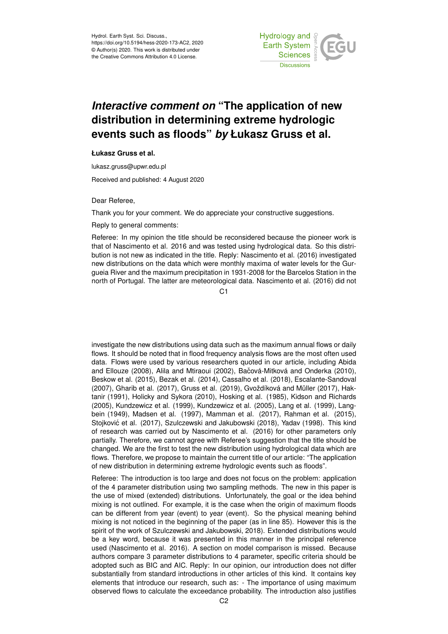

## *Interactive comment on* **"The application of new distribution in determining extreme hydrologic events such as floods"** *by* **Łukasz Gruss et al.**

## **Łukasz Gruss et al.**

lukasz.gruss@upwr.edu.pl

Received and published: 4 August 2020

Dear Referee,

Thank you for your comment. We do appreciate your constructive suggestions.

Reply to general comments:

Referee: In my opinion the title should be reconsidered because the pioneer work is that of Nascimento et al. 2016 and was tested using hydrological data. So this distribution is not new as indicated in the title. Reply: Nascimento et al. (2016) investigated new distributions on the data which were monthly maxima of water levels for the Gurgueia River and the maximum precipitation in 1931-2008 for the Barcelos Station in the north of Portugal. The latter are meteorological data. Nascimento et al. (2016) did not

 $C<sub>1</sub>$ 

investigate the new distributions using data such as the maximum annual flows or daily flows. It should be noted that in flood frequency analysis flows are the most often used data. Flows were used by various researchers quoted in our article, including Abida and Ellouze (2008), Alila and Mtiraoui (2002), Bačová-Mitková and Onderka (2010), Beskow et al. (2015), Bezak et al. (2014), Cassalho et al. (2018), Escalante-Sandoval (2007), Gharib et al. (2017), Gruss et al. (2019), Gvoždíková and Müller (2017), Haktanir (1991), Holicky and Sykora (2010), Hosking et al. (1985), Kidson and Richards (2005), Kundzewicz et al. (1999), Kundzewicz et al. (2005), Lang et al. (1999), Langbein (1949), Madsen et al. (1997), Mamman et al. (2017), Rahman et al. (2015), Stojković et al. (2017), Szulczewski and Jakubowski (2018), Yadav (1998). This kind of research was carried out by Nascimento et al. (2016) for other parameters only partially. Therefore, we cannot agree with Referee's suggestion that the title should be changed. We are the first to test the new distribution using hydrological data which are flows. Therefore, we propose to maintain the current title of our article: "The application of new distribution in determining extreme hydrologic events such as floods".

Referee: The introduction is too large and does not focus on the problem: application of the 4 parameter distribution using two sampling methods. The new in this paper is the use of mixed (extended) distributions. Unfortunately, the goal or the idea behind mixing is not outlined. For example, it is the case when the origin of maximum floods can be different from year (event) to year (event). So the physical meaning behind mixing is not noticed in the beginning of the paper (as in line 85). However this is the spirit of the work of Szulczewski and Jakubowski, 2018). Extended distributions would be a key word, because it was presented in this manner in the principal reference used (Nascimento et al. 2016). A section on model comparison is missed. Because authors compare 3 parameter distributions to 4 parameter, specific criteria should be adopted such as BIC and AIC. Reply: In our opinion, our introduction does not differ substantially from standard introductions in other articles of this kind. It contains key elements that introduce our research, such as: - The importance of using maximum observed flows to calculate the exceedance probability. The introduction also justifies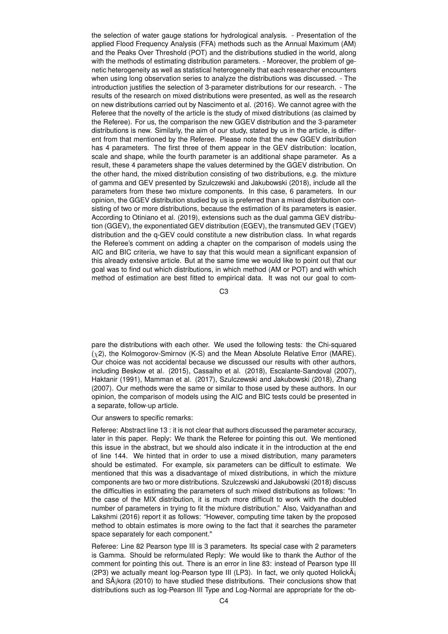the selection of water gauge stations for hydrological analysis. - Presentation of the applied Flood Frequency Analysis (FFA) methods such as the Annual Maximum (AM) and the Peaks Over Threshold (POT) and the distributions studied in the world, along with the methods of estimating distribution parameters. - Moreover, the problem of genetic heterogeneity as well as statistical heterogeneity that each researcher encounters when using long observation series to analyze the distributions was discussed. - The introduction justifies the selection of 3-parameter distributions for our research. - The results of the research on mixed distributions were presented, as well as the research on new distributions carried out by Nascimento et al. (2016). We cannot agree with the Referee that the novelty of the article is the study of mixed distributions (as claimed by the Referee). For us, the comparison the new GGEV distribution and the 3-parameter distributions is new. Similarly, the aim of our study, stated by us in the article, is different from that mentioned by the Referee. Please note that the new GGEV distribution has 4 parameters. The first three of them appear in the GEV distribution: location, scale and shape, while the fourth parameter is an additional shape parameter. As a result, these 4 parameters shape the values determined by the GGEV distribution. On the other hand, the mixed distribution consisting of two distributions, e.g. the mixture of gamma and GEV presented by Szulczewski and Jakubowski (2018), include all the parameters from these two mixture components. In this case, 6 parameters. In our opinion, the GGEV distribution studied by us is preferred than a mixed distribution consisting of two or more distributions, because the estimation of its parameters is easier. According to Otiniano et al. (2019), extensions such as the dual gamma GEV distribution (GGEV), the exponentiated GEV distribution (EGEV), the transmuted GEV (TGEV) distribution and the q-GEV could constitute a new distribution class. In what regards the Referee's comment on adding a chapter on the comparison of models using the AIC and BIC criteria, we have to say that this would mean a significant expansion of this already extensive article. But at the same time we would like to point out that our goal was to find out which distributions, in which method (AM or POT) and with which method of estimation are best fitted to empirical data. It was not our goal to com-

C3

pare the distributions with each other. We used the following tests: the Chi-squared (χ2), the Kolmogorov-Smirnov (K-S) and the Mean Absolute Relative Error (MARE). Our choice was not accidental because we discussed our results with other authors, including Beskow et al. (2015), Cassalho et al. (2018), Escalante-Sandoval (2007), Haktanir (1991), Mamman et al. (2017), Szulczewski and Jakubowski (2018), Zhang (2007). Our methods were the same or similar to those used by these authors. In our opinion, the comparison of models using the AIC and BIC tests could be presented in a separate, follow-up article.

Our answers to specific remarks:

Referee: Abstract line 13 : it is not clear that authors discussed the parameter accuracy, later in this paper. Reply: We thank the Referee for pointing this out. We mentioned this issue in the abstract, but we should also indicate it in the introduction at the end of line 144. We hinted that in order to use a mixed distribution, many parameters should be estimated. For example, six parameters can be difficult to estimate. We mentioned that this was a disadvantage of mixed distributions, in which the mixture components are two or more distributions. Szulczewski and Jakubowski (2018) discuss the difficulties in estimating the parameters of such mixed distributions as follows: "In the case of the MIX distribution, it is much more difficult to work with the doubled number of parameters in trying to fit the mixture distribution." Also, Vaidyanathan and Lakshmi (2016) report it as follows: "However, computing time taken by the proposed method to obtain estimates is more owing to the fact that it searches the parameter space separately for each component."

Referee: Line 82 Pearson type III is 3 parameters. Its special case with 2 parameters is Gamma. Should be reformulated Reply: We would like to thank the Author of the comment for pointing this out. There is an error in line 83: instead of Pearson type III (2P3) we actually meant log-Pearson type III (LP3). In fact, we only quoted Holick $\tilde{A}_i$ and  $S\tilde{A}$ <sub>i</sub>kora (2010) to have studied these distributions. Their conclusions show that distributions such as log-Pearson III Type and Log-Normal are appropriate for the ob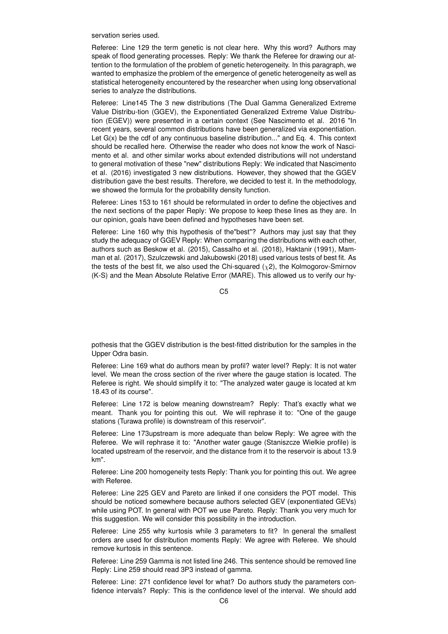servation series used.

Referee: Line 129 the term genetic is not clear here. Why this word? Authors may speak of flood generating processes. Reply: We thank the Referee for drawing our attention to the formulation of the problem of genetic heterogeneity. In this paragraph, we wanted to emphasize the problem of the emergence of genetic heterogeneity as well as statistical heterogeneity encountered by the researcher when using long observational series to analyze the distributions.

Referee: Line145 The 3 new distributions (The Dual Gamma Generalized Extreme Value Distribu-tion (GGEV), the Exponentiated Generalized Extreme Value Distribution (EGEV)) were presented in a certain context (See Nascimento et al. 2016 "In recent years, several common distributions have been generalized via exponentiation. Let  $G(x)$  be the cdf of any continuous baseline distribution..." and Eq. 4. This context should be recalled here. Otherwise the reader who does not know the work of Nascimento et al. and other similar works about extended distributions will not understand to general motivation of these "new" distributions Reply: We indicated that Nascimento et al. (2016) investigated 3 new distributions. However, they showed that the GGEV distribution gave the best results. Therefore, we decided to test it. In the methodology, we showed the formula for the probability density function.

Referee: Lines 153 to 161 should be reformulated in order to define the objectives and the next sections of the paper Reply: We propose to keep these lines as they are. In our opinion, goals have been defined and hypotheses have been set.

Referee: Line 160 why this hypothesis of the"best"? Authors may just say that they study the adequacy of GGEV Reply: When comparing the distributions with each other, authors such as Beskow et al. (2015), Cassalho et al. (2018), Haktanir (1991), Mamman et al. (2017), Szulczewski and Jakubowski (2018) used various tests of best fit. As the tests of the best fit, we also used the Chi-squared  $(\chi^2)$ , the Kolmogorov-Smirnov (K-S) and the Mean Absolute Relative Error (MARE). This allowed us to verify our hy-

 $C<sub>5</sub>$ 

pothesis that the GGEV distribution is the best-fitted distribution for the samples in the Upper Odra basin.

Referee: Line 169 what do authors mean by profil? water level? Reply: It is not water level. We mean the cross section of the river where the gauge station is located. The Referee is right. We should simplify it to: "The analyzed water gauge is located at km 18.43 of its course".

Referee: Line 172 is below meaning downstream? Reply: That's exactly what we meant. Thank you for pointing this out. We will rephrase it to: "One of the gauge stations (Turawa profile) is downstream of this reservoir".

Referee: Line 173upstream is more adequate than below Reply: We agree with the Referee. We will rephrase it to: "Another water gauge (Staniszcze Wielkie profile) is located upstream of the reservoir, and the distance from it to the reservoir is about 13.9 km".

Referee: Line 200 homogeneity tests Reply: Thank you for pointing this out. We agree with Referee.

Referee: Line 225 GEV and Pareto are linked if one considers the POT model. This should be noticed somewhere because authors selected GEV (exponentiated GEVs) while using POT. In general with POT we use Pareto. Reply: Thank you very much for this suggestion. We will consider this possibility in the introduction.

Referee: Line 255 why kurtosis while 3 parameters to fit? In general the smallest orders are used for distribution moments Reply: We agree with Referee. We should remove kurtosis in this sentence.

Referee: Line 259 Gamma is not listed line 246. This sentence should be removed line Reply: Line 259 should read 3P3 instead of gamma.

Referee: Line: 271 confidence level for what? Do authors study the parameters confidence intervals? Reply: This is the confidence level of the interval. We should add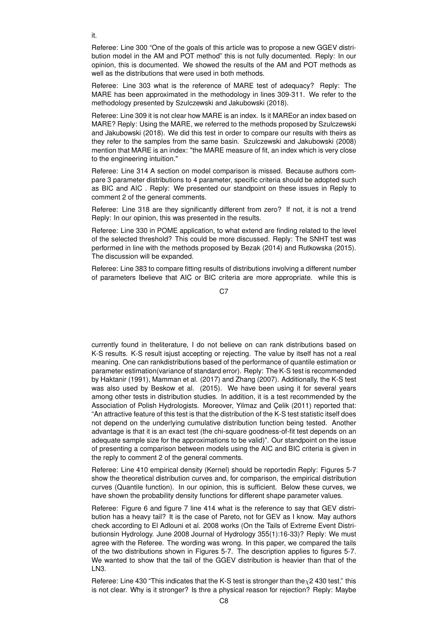Referee: Line 300 "One of the goals of this article was to propose a new GGEV distribution model in the AM and POT method" this is not fully documented. Reply: In our opinion, this is documented. We showed the results of the AM and POT methods as well as the distributions that were used in both methods.

Referee: Line 303 what is the reference of MARE test of adequacy? Reply: The MARE has been approximated in the methodology in lines 309-311. We refer to the methodology presented by Szulczewski and Jakubowski (2018).

Referee: Line 309 it is not clear how MARE is an index. Is it MAREor an index based on MARE? Reply: Using the MARE, we referred to the methods proposed by Szulczewski and Jakubowski (2018). We did this test in order to compare our results with theirs as they refer to the samples from the same basin. Szulczewski and Jakubowski (2008) mention that MARE is an index: "the MARE measure of fit, an index which is very close to the engineering intuition."

Referee: Line 314 A section on model comparison is missed. Because authors compare 3 parameter distributions to 4 parameter, specific criteria should be adopted such as BIC and AIC . Reply: We presented our standpoint on these issues in Reply to comment 2 of the general comments.

Referee: Line 318 are they significantly different from zero? If not, it is not a trend Reply: In our opinion, this was presented in the results.

Referee: Line 330 in POME application, to what extend are finding related to the level of the selected threshold? This could be more discussed. Reply: The SNHT test was performed in line with the methods proposed by Bezak (2014) and Rutkowska (2015). The discussion will be expanded.

Referee: Line 383 to compare fitting results of distributions involving a different number of parameters Ibelieve that AIC or BIC criteria are more appropriate. while this is

C<sub>7</sub>

currently found in theliterature, I do not believe on can rank distributions based on K-S results. K-S result isjust accepting or rejecting. The value by itself has not a real meaning. One can rankdistributions based of the performance of quantile estimation or parameter estimation(variance of standard error). Reply: The K-S test is recommended by Haktanir (1991), Mamman et al. (2017) and Zhang (2007). Additionally, the K-S test was also used by Beskow et al. (2015). We have been using it for several years among other tests in distribution studies. In addition, it is a test recommended by the Association of Polish Hydrologists. Moreover, Yilmaz and Çelik (2011) reported that: "An attractive feature of this test is that the distribution of the K-S test statistic itself does not depend on the underlying cumulative distribution function being tested. Another advantage is that it is an exact test (the chi-square goodness-of-fit test depends on an adequate sample size for the approximations to be valid)". Our standpoint on the issue of presenting a comparison between models using the AIC and BIC criteria is given in the reply to comment 2 of the general comments.

Referee: Line 410 empirical density (Kernel) should be reportedin Reply: Figures 5-7 show the theoretical distribution curves and, for comparison, the empirical distribution curves (Quantile function). In our opinion, this is sufficient. Below these curves, we have shown the probability density functions for different shape parameter values.

Referee: Figure 6 and figure 7 line 414 what is the reference to say that GEV distribution has a heavy tail? It is the case of Pareto, not for GEV as I know. May authors check according to El Adlouni et al. 2008 works (On the Tails of Extreme Event Distributionsin Hydrology. June 2008 Journal of Hydrology 355(1):16-33)? Reply: We must agree with the Referee. The wording was wrong. In this paper, we compared the tails of the two distributions shown in Figures 5-7. The description applies to figures 5-7. We wanted to show that the tail of the GGEV distribution is heavier than that of the LN3.

Referee: Line 430 "This indicates that the K-S test is stronger than the  $\chi$ 2 430 test." this is not clear. Why is it stronger? Is thre a physical reason for rejection? Reply: Maybe

it.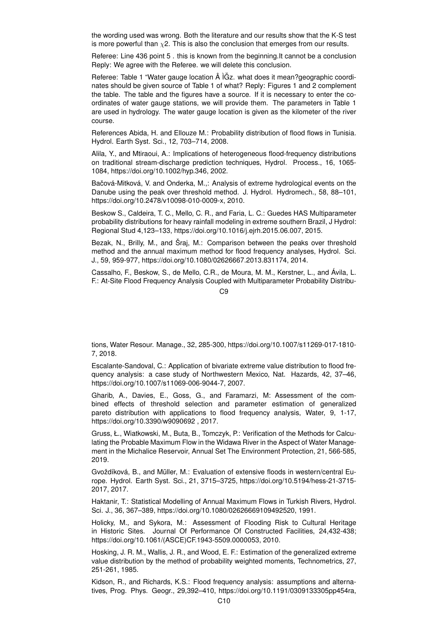the wording used was wrong. Both the literature and our results show that the K-S test is more powerful than  $\chi$ 2. This is also the conclusion that emerges from our results.

Referee: Line 436 point 5 . this is known from the beginning.It cannot be a conclusion Reply: We agree with the Referee. we will delete this conclusion.

Referee: Table 1 "Water gauge location  $\hat{A}$  IGz. what does it mean?geographic coordinates should be given source of Table 1 of what? Reply: Figures 1 and 2 complement the table. The table and the figures have a source. If it is necessary to enter the coordinates of water gauge stations, we will provide them. The parameters in Table 1 are used in hydrology. The water gauge location is given as the kilometer of the river course.

References Abida, H. and Ellouze M.: Probability distribution of flood flows in Tunisia. Hydrol. Earth Syst. Sci., 12, 703–714, 2008.

Alila, Y., and Mtiraoui, A.: Implications of heterogeneous flood-frequency distributions on traditional stream-discharge prediction techniques, Hydrol. Process., 16, 1065- 1084, https://doi.org/10.1002/hyp.346, 2002.

Bačová-Mitková, V. and Onderka, M.,: Analysis of extreme hydrological events on the Danube using the peak over threshold method. J. Hydrol. Hydromech., 58, 88–101, https://doi.org/10.2478/v10098-010-0009-x, 2010.

Beskow S., Caldeira, T. C., Mello, C. R., and Faria, L. C.: Guedes HAS Multiparameter probability distributions for heavy rainfall modeling in extreme southern Brazil, J Hydrol: Regional Stud 4,123–133, https://doi.org/10.1016/j.ejrh.2015.06.007, 2015.

Bezak, N., Brilly, M., and Šraj, M.: Comparison between the peaks over threshold method and the annual maximum method for flood frequency analyses, Hydrol. Sci. J., 59, 959-977, https://doi.org/10.1080/02626667.2013.831174, 2014.

Cassalho, F., Beskow, S., de Mello, C.R., de Moura, M. M., Kerstner, L., and Ávila, L. F.: At-Site Flood Frequency Analysis Coupled with Multiparameter Probability Distribu-

C9

tions, Water Resour. Manage., 32, 285-300, https://doi.org/10.1007/s11269-017-1810- 7, 2018.

Escalante-Sandoval, C.: Application of bivariate extreme value distribution to flood frequency analysis: a case study of Northwestern Mexico, Nat. Hazards, 42, 37–46, https://doi.org/10.1007/s11069-006-9044-7, 2007.

Gharib, A., Davies, E., Goss, G., and Faramarzi, M: Assessment of the combined effects of threshold selection and parameter estimation of generalized pareto distribution with applications to flood frequency analysis, Water, 9, 1-17, https://doi.org/10.3390/w9090692 , 2017.

Gruss, Ł., Wiatkowski, M., Buta, B., Tomczyk, P.: Verification of the Methods for Calculating the Probable Maximum Flow in the Widawa River in the Aspect of Water Management in the Michalice Reservoir, Annual Set The Environment Protection, 21, 566-585, 2019.

Gvoždíková, B., and Müller, M.: Evaluation of extensive floods in western/central Europe. Hydrol. Earth Syst. Sci., 21, 3715–3725, https://doi.org/10.5194/hess-21-3715- 2017, 2017.

Haktanir, T.: Statistical Modelling of Annual Maximum Flows in Turkish Rivers, Hydrol. Sci. J., 36, 367–389, https://doi.org/10.1080/02626669109492520, 1991.

Holicky, M., and Sykora, M.: Assessment of Flooding Risk to Cultural Heritage in Historic Sites. Journal Of Performance Of Constructed Facilities, 24,432-438; https://doi.org/10.1061/(ASCE)CF.1943-5509.0000053, 2010.

Hosking, J. R. M., Wallis, J. R., and Wood, E. F.: Estimation of the generalized extreme value distribution by the method of probability weighted moments, Technometrics, 27, 251-261, 1985.

Kidson, R., and Richards, K.S.: Flood frequency analysis: assumptions and alternatives, Prog. Phys. Geogr., 29,392–410, https://doi.org/10.1191/0309133305pp454ra,